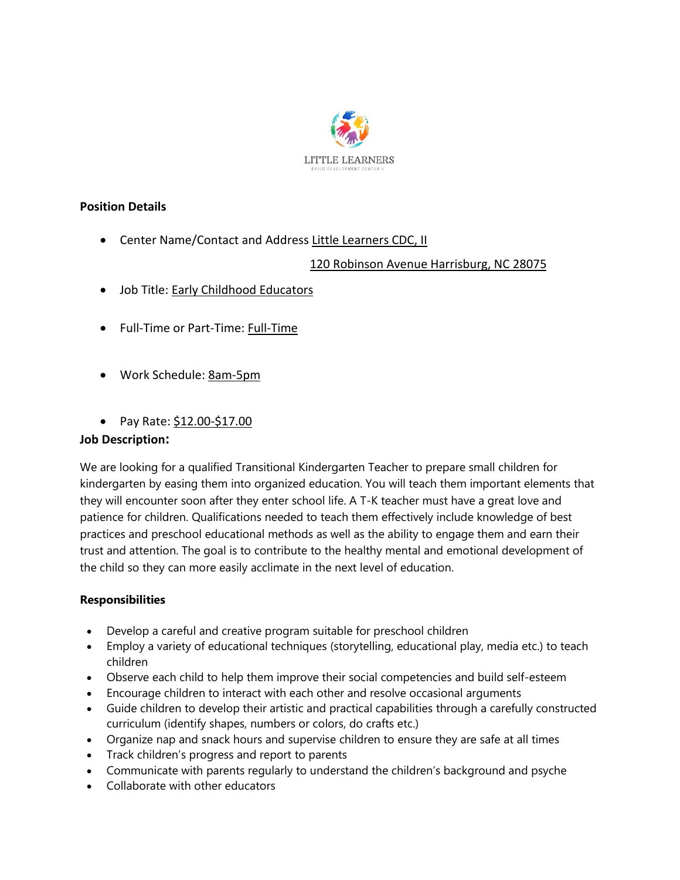

## **Position Details**

• Center Name/Contact and Address Little Learners CDC, II

### 120 Robinson Avenue Harrisburg, NC 28075

- Job Title: Early Childhood Educators
- Full-Time or Part-Time: Full-Time
- Work Schedule: 8am-5pm
- Pay Rate: \$12.00-\$17.00

#### **Job Description:**

We are looking for a qualified Transitional Kindergarten Teacher to prepare small children for kindergarten by easing them into organized education. You will teach them important elements that they will encounter soon after they enter school life. A T-K teacher must have a great love and patience for children. Qualifications needed to teach them effectively include knowledge of best practices and preschool educational methods as well as the ability to engage them and earn their trust and attention. The goal is to contribute to the healthy mental and emotional development of the child so they can more easily acclimate in the next level of education.

#### **Responsibilities**

- Develop a careful and creative program suitable for preschool children
- Employ a variety of educational techniques (storytelling, educational play, media etc.) to teach children
- Observe each child to help them improve their social competencies and build self-esteem
- Encourage children to interact with each other and resolve occasional arguments
- Guide children to develop their artistic and practical capabilities through a carefully constructed curriculum (identify shapes, numbers or colors, do crafts etc.)
- Organize nap and snack hours and supervise children to ensure they are safe at all times
- Track children's progress and report to parents
- Communicate with parents regularly to understand the children's background and psyche
- Collaborate with other educators